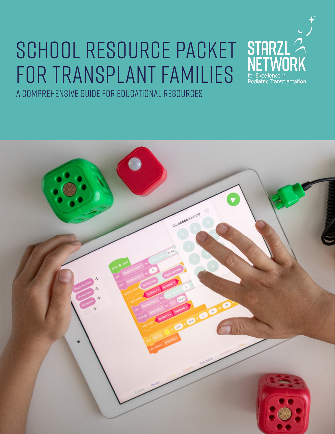# School Resource Packet for Transplant Families A comprehensive guide for educational resources



**STARZL** 

ediatric Transplantation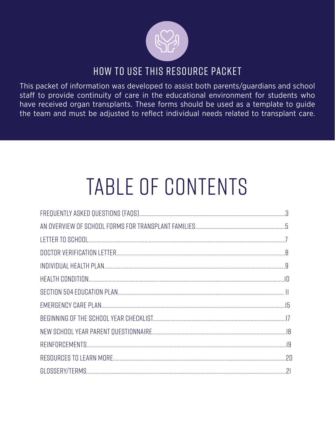

# HOW TO USE THIS RESOURCE PACKET

This packet of information was developed to assist both parents/guardians and school staff to provide continuity of care in the educational environment for students who have received organ transplants. These forms should be used as a template to guide the team and must be adjusted to reflect individual needs related to transplant care.

# TABLE OF CONTENTS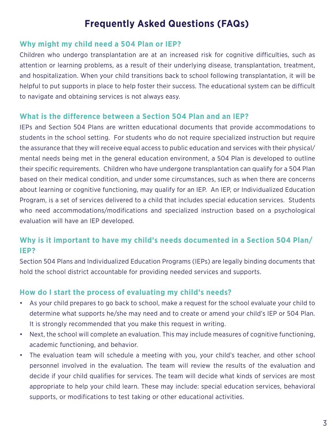## **Frequently Asked Questions (FAQs)**

#### **Why might my child need a 504 Plan or IEP?**

Children who undergo transplantation are at an increased risk for cognitive difficulties, such as attention or learning problems, as a result of their underlying disease, transplantation, treatment, and hospitalization. When your child transitions back to school following transplantation, it will be helpful to put supports in place to help foster their success. The educational system can be difficult to navigate and obtaining services is not always easy.

#### **What is the difference between a Section 504 Plan and an IEP?**

IEPs and Section 504 Plans are written educational documents that provide accommodations to students in the school setting. For students who do not require specialized instruction but require the assurance that they will receive equal access to public education and services with their physical/ mental needs being met in the general education environment, a 504 Plan is developed to outline their specific requirements. Children who have undergone transplantation can qualify for a 504 Plan based on their medical condition, and under some circumstances, such as when there are concerns about learning or cognitive functioning, may qualify for an IEP. An IEP, or Individualized Education Program, is a set of services delivered to a child that includes special education services. Students who need accommodations/modifications and specialized instruction based on a psychological evaluation will have an IEP developed.

#### **Why is it important to have my child's needs documented in a Section 504 Plan/ IEP?**

Section 504 Plans and Individualized Education Programs (IEPs) are legally binding documents that hold the school district accountable for providing needed services and supports.

#### **How do I start the process of evaluating my child's needs?**

- As your child prepares to go back to school, make a request for the school evaluate your child to determine what supports he/she may need and to create or amend your child's IEP or 504 Plan. It is strongly recommended that you make this request in writing.
- Next, the school will complete an evaluation. This may include measures of cognitive functioning, academic functioning, and behavior.
- The evaluation team will schedule a meeting with you, your child's teacher, and other school personnel involved in the evaluation. The team will review the results of the evaluation and decide if your child qualifies for services. The team will decide what kinds of services are most appropriate to help your child learn. These may include: special education services, behavioral supports, or modifications to test taking or other educational activities.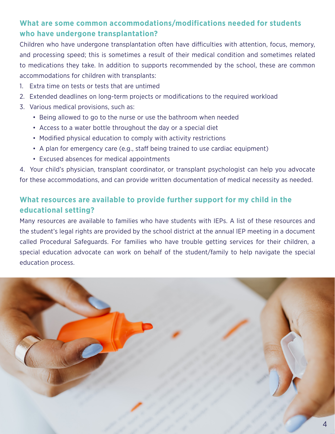#### **What are some common accommodations/modifications needed for students who have undergone transplantation?**

Children who have undergone transplantation often have difficulties with attention, focus, memory, and processing speed; this is sometimes a result of their medical condition and sometimes related to medications they take. In addition to supports recommended by the school, these are common accommodations for children with transplants:

- 1. Extra time on tests or tests that are untimed
- 2. Extended deadlines on long-term projects or modifications to the required workload
- 3. Various medical provisions, such as:
	- Being allowed to go to the nurse or use the bathroom when needed
	- Access to a water bottle throughout the day or a special diet
	- Modified physical education to comply with activity restrictions
	- A plan for emergency care (e.g., staff being trained to use cardiac equipment)
	- Excused absences for medical appointments

4. Your child's physician, transplant coordinator, or transplant psychologist can help you advocate for these accommodations, and can provide written documentation of medical necessity as needed.

### **What resources are available to provide further support for my child in the educational setting?**

Many resources are available to families who have students with IEPs. A list of these resources and the student's legal rights are provided by the school district at the annual IEP meeting in a document called Procedural Safeguards. For families who have trouble getting services for their children, a special education advocate can work on behalf of the student/family to help navigate the special education process.

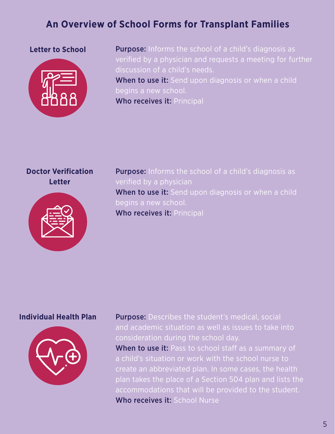## **An Overview of School Forms for Transplant Families**

#### **Letter to School**



Purpose: Informs the school of a child's diagnosis as verified by a physician and requests a meeting for further discussion of a child's needs. When to use it: Send upon diagnosis or when a child begins a new school. Who receives it: Principal

#### **Doctor Verification Letter**



**Purpose:** Informs the school of a child's diagnosis as verified by a physician When to use it: Send upon diagnosis or when a child begins a new school. Who receives it: Principal

#### **Individual Health Plan**



Purpose: Describes the student's medical, social and academic situation as well as issues to take into consideration during the school day. When to use it: Pass to school staff as a summary of a child's situation or work with the school nurse to create an abbreviated plan. In some cases, the health plan takes the place of a Section 504 plan and lists the accommodations that will be provided to the student. Who receives it: School Nurse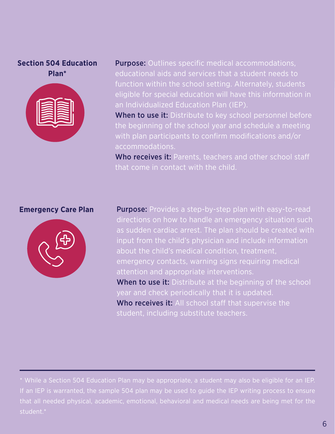#### **Section 504 Education Plan\***



Purpose: Outlines specific medical accommodations, educational aids and services that a student needs to function within the school setting. Alternately, students eligible for special education will have this information in an Individualized Education Plan (IEP).

When to use it: Distribute to key school personnel before the beginning of the school year and schedule a meeting with plan participants to confirm modifications and/or accommodations.

Who receives it: Parents, teachers and other school staff that come in contact with the child.

#### **Emergency Care Plan**



Purpose: Provides a step-by-step plan with easy-to-read directions on how to handle an emergency situation such as sudden cardiac arrest. The plan should be created with input from the child's physician and include information about the child's medical condition, treatment, emergency contacts, warning signs requiring medical attention and appropriate interventions. When to use it: Distribute at the beginning of the school year and check periodically that it is updated.

Who receives it: All school staff that supervise the student, including substitute teachers.

\* While a Section 504 Education Plan may be appropriate, a student may also be eligible for an IEP. If an IEP is warranted, the sample 504 plan may be used to guide the IEP writing process to ensure that all needed physical, academic, emotional, behavioral and medical needs are being met for the student.\*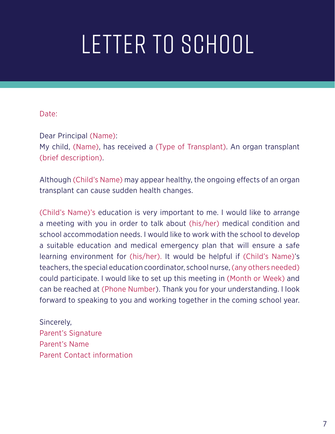# Letter to School

#### Date:

Dear Principal (Name):

My child, (Name), has received a (Type of Transplant). An organ transplant (brief description).

Although (Child's Name) may appear healthy, the ongoing effects of an organ transplant can cause sudden health changes.

(Child's Name)'s education is very important to me. I would like to arrange a meeting with you in order to talk about (his/her) medical condition and school accommodation needs. I would like to work with the school to develop a suitable education and medical emergency plan that will ensure a safe learning environment for (his/her). It would be helpful if (Child's Name)'s teachers, the special education coordinator, school nurse, (any others needed) could participate. I would like to set up this meeting in (Month or Week) and can be reached at (Phone Number). Thank you for your understanding. I look forward to speaking to you and working together in the coming school year.

Sincerely, Parent's Signature Parent's Name Parent Contact information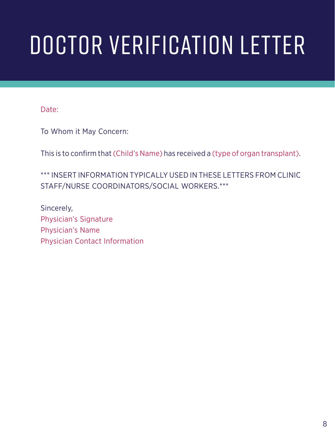# Doctor Verification Letter

Date:

To Whom it May Concern:

This is to confirm that (Child's Name) has received a (type of organ transplant).

\*\*\* INSERT INFORMATION TYPICALLY USED IN THESE LETTERS FROM CLINIC STAFF/NURSE COORDINATORS/SOCIAL WORKERS.\*\*\*

Sincerely, Physician's Signature Physician's Name Physician Contact Information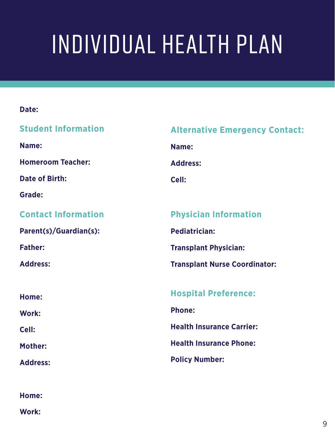# Individual Health Plan

#### **Date:**

| <b>Student Information</b> | <b>Alternative Emergency Contact:</b> |
|----------------------------|---------------------------------------|
| Name:                      | Name:                                 |
| <b>Homeroom Teacher:</b>   | <b>Address:</b>                       |
| <b>Date of Birth:</b>      | Cell:                                 |
| <b>Grade:</b>              |                                       |
| <b>Contact Information</b> | <b>Physician Information</b>          |
| Parent(s)/Guardian(s):     | <b>Pediatrician:</b>                  |
| <b>Father:</b>             | <b>Transplant Physician:</b>          |
| <b>Address:</b>            | <b>Transplant Nurse Coordinator:</b>  |
|                            |                                       |
| Home:                      | <b>Hospital Preference:</b>           |
| Work:                      | <b>Phone:</b>                         |
| Cell:                      | <b>Health Insurance Carrier:</b>      |
| <b>Mother:</b>             | <b>Health Insurance Phone:</b>        |
| <b>Address:</b>            | <b>Policy Number:</b>                 |
|                            |                                       |

**Home:**

**Work:**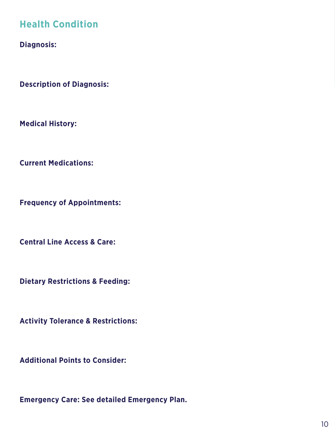## **Health Condition**

**Diagnosis:** 

**Description of Diagnosis:** 

**Medical History:** 

**Current Medications:** 

**Frequency of Appointments:**

**Central Line Access & Care:**

**Dietary Restrictions & Feeding:** 

**Activity Tolerance & Restrictions:** 

**Additional Points to Consider:** 

**Emergency Care: See detailed Emergency Plan.**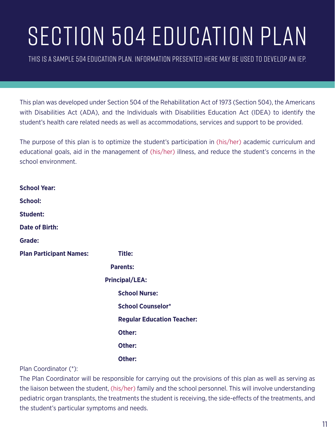# SECTION 504 EDUCATION PLAN

This is a sample 504 Education Plan. Information presented here may be used to develop an IEP.

This plan was developed under Section 504 of the Rehabilitation Act of 1973 (Section 504), the Americans with Disabilities Act (ADA), and the Individuals with Disabilities Education Act (IDEA) to identify the student's health care related needs as well as accommodations, services and support to be provided.

The purpose of this plan is to optimize the student's participation in (his/her) academic curriculum and educational goals, aid in the management of (his/her) illness, and reduce the student's concerns in the school environment.

| <b>School Year:</b>            |                                   |
|--------------------------------|-----------------------------------|
| <b>School:</b>                 |                                   |
| <b>Student:</b>                |                                   |
| <b>Date of Birth:</b>          |                                   |
| Grade:                         |                                   |
| <b>Plan Participant Names:</b> | <b>Title:</b>                     |
|                                | <b>Parents:</b>                   |
|                                | <b>Principal/LEA:</b>             |
|                                | <b>School Nurse:</b>              |
|                                | <b>School Counselor*</b>          |
|                                | <b>Regular Education Teacher:</b> |
|                                | Other:                            |
|                                | Other:                            |
|                                | Other:                            |

Plan Coordinator (\*):

The Plan Coordinator will be responsible for carrying out the provisions of this plan as well as serving as the liaison between the student, (his/her) family and the school personnel. This will involve understanding pediatric organ transplants, the treatments the student is receiving, the side-effects of the treatments, and the student's particular symptoms and needs.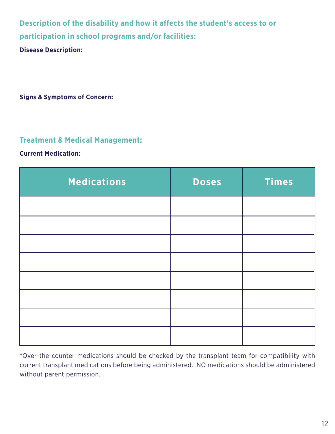**Description of the disability and how it affects the student's access to or participation in school programs and/or facilities:** 

**Disease Description:** 

**Signs & Symptoms of Concern:** 

#### **Treatment & Medical Management:**

#### **Current Medication:**

| <b>Medications</b> | <b>Doses</b> | <b>Times</b> |
|--------------------|--------------|--------------|
|                    |              |              |
|                    |              |              |
|                    |              |              |
|                    |              |              |
|                    |              |              |
|                    |              |              |
|                    |              |              |
|                    |              |              |

\*Over-the-counter medications should be checked by the transplant team for compatibility with current transplant medications before being administered. NO medications should be administered without parent permission.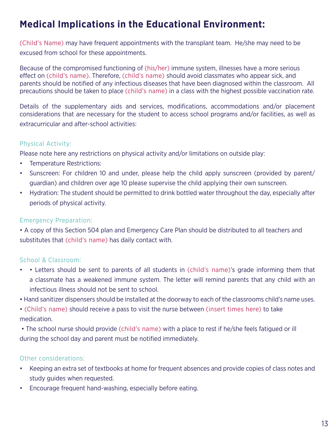# **Medical Implications in the Educational Environment:**

(Child's Name) may have frequent appointments with the transplant team. He/she may need to be excused from school for these appointments.

Because of the compromised functioning of (his/her) immune system, illnesses have a more serious effect on (child's name). Therefore, (child's name) should avoid classmates who appear sick, and parents should be notified of any infectious diseases that have been diagnosed within the classroom. All precautions should be taken to place (child's name) in a class with the highest possible vaccination rate.

Details of the supplementary aids and services, modifications, accommodations and/or placement considerations that are necessary for the student to access school programs and/or facilities, as well as extracurricular and after-school activities:

#### Physical Activity:

Please note here any restrictions on physical activity and/or limitations on outside play:

- Temperature Restrictions:
- Sunscreen: For children 10 and under, please help the child apply sunscreen (provided by parent/ guardian) and children over age 10 please supervise the child applying their own sunscreen.
- Hydration: The student should be permitted to drink bottled water throughout the day, especially after periods of physical activity.

#### Emergency Preparation:

• A copy of this Section 504 plan and Emergency Care Plan should be distributed to all teachers and substitutes that (child's name) has daily contact with.

#### School & Classroom:

- • Letters should be sent to parents of all students in (child's name)'s grade informing them that a classmate has a weakened immune system. The letter will remind parents that any child with an infectious illness should not be sent to school.
- Hand sanitizer dispensers should be installed at the doorway to each of the classrooms child's name uses.

• (Child's name) should receive a pass to visit the nurse between (insert times here) to take medication.

 • The school nurse should provide (child's name) with a place to rest if he/she feels fatigued or ill during the school day and parent must be notified immediately.

#### Other considerations:

- Keeping an extra set of textbooks at home for frequent absences and provide copies of class notes and study guides when requested.
- Encourage frequent hand-washing, especially before eating.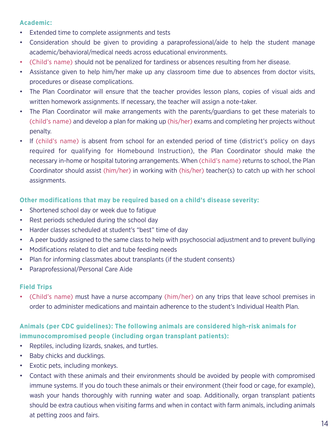#### **Academic:**

- Extended time to complete assignments and tests
- Consideration should be given to providing a paraprofessional/aide to help the student manage academic/behavioral/medical needs across educational environments.
- (Child's name) should not be penalized for tardiness or absences resulting from her disease.
- Assistance given to help him/her make up any classroom time due to absences from doctor visits, procedures or disease complications.
- The Plan Coordinator will ensure that the teacher provides lesson plans, copies of visual aids and written homework assignments. If necessary, the teacher will assign a note-taker.
- The Plan Coordinator will make arrangements with the parents/guardians to get these materials to (child's name) and develop a plan for making up (his/her) exams and completing her projects without penalty.
- If (child's name) is absent from school for an extended period of time (district's policy on days required for qualifying for Homebound Instruction), the Plan Coordinator should make the necessary in-home or hospital tutoring arrangements. When (child's name) returns to school, the Plan Coordinator should assist (him/her) in working with (his/her) teacher(s) to catch up with her school assignments.

#### **Other modifications that may be required based on a child's disease severity:**

- Shortened school day or week due to fatigue
- Rest periods scheduled during the school day
- Harder classes scheduled at student's "best" time of day
- A peer buddy assigned to the same class to help with psychosocial adjustment and to prevent bullying
- Modifications related to diet and tube feeding needs
- Plan for informing classmates about transplants (if the student consents)
- Paraprofessional/Personal Care Aide

#### **Field Trips**

• (Child's name) must have a nurse accompany (him/her) on any trips that leave school premises in order to administer medications and maintain adherence to the student's Individual Health Plan.

#### **Animals (per CDC guidelines): The following animals are considered high-risk animals for immunocompromised people (including organ transplant patients):**

- Reptiles, including lizards, snakes, and turtles.
- Baby chicks and ducklings.
- Exotic pets, including monkeys.
- Contact with these animals and their environments should be avoided by people with compromised immune systems. If you do touch these animals or their environment (their food or cage, for example), wash your hands thoroughly with running water and soap. Additionally, organ transplant patients should be extra cautious when visiting farms and when in contact with farm animals, including animals at petting zoos and fairs.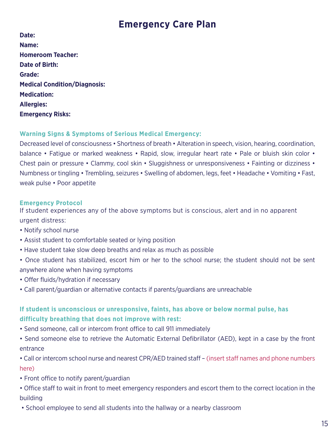## **Emergency Care Plan**

| Date:                               |
|-------------------------------------|
| Name:                               |
| <b>Homeroom Teacher:</b>            |
| Date of Birth:                      |
| Grade:                              |
| <b>Medical Condition/Diagnosis:</b> |
| <b>Medication:</b>                  |
| <b>Allergies:</b>                   |
| <b>Emergency Risks:</b>             |
|                                     |

#### **Warning Signs & Symptoms of Serious Medical Emergency:**

Decreased level of consciousness • Shortness of breath • Alteration in speech, vision, hearing, coordination, balance • Fatigue or marked weakness • Rapid, slow, irregular heart rate • Pale or bluish skin color • Chest pain or pressure • Clammy, cool skin • Sluggishness or unresponsiveness • Fainting or dizziness • Numbness or tingling • Trembling, seizures • Swelling of abdomen, legs, feet • Headache • Vomiting • Fast, weak pulse • Poor appetite

#### **Emergency Protocol**

If student experiences any of the above symptoms but is conscious, alert and in no apparent urgent distress:

- Notify school nurse
- Assist student to comfortable seated or lying position
- Have student take slow deep breaths and relax as much as possible
- Once student has stabilized, escort him or her to the school nurse; the student should not be sent anywhere alone when having symptoms
- Offer fluids/hydration if necessary
- Call parent/guardian or alternative contacts if parents/guardians are unreachable

#### **If student is unconscious or unresponsive, faints, has above or below normal pulse, has difficulty breathing that does not improve with rest:**

- Send someone, call or intercom front office to call 911 immediately
- Send someone else to retrieve the Automatic External Defibrillator (AED), kept in a case by the front entrance

• Call or intercom school nurse and nearest CPR/AED trained staff – (insert staff names and phone numbers here)

- Front office to notify parent/guardian
- Office staff to wait in front to meet emergency responders and escort them to the correct location in the building
- School employee to send all students into the hallway or a nearby classroom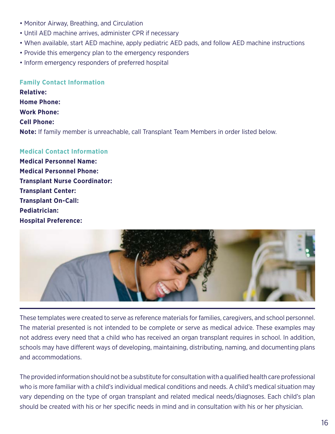- Monitor Airway, Breathing, and Circulation
- Until AED machine arrives, administer CPR if necessary
- When available, start AED machine, apply pediatric AED pads, and follow AED machine instructions
- Provide this emergency plan to the emergency responders
- Inform emergency responders of preferred hospital

#### **Family Contact Information**

**Relative: Home Phone: Work Phone: Cell Phone: Note:** If family member is unreachable, call Transplant Team Members in order listed below.

#### **Medical Contact Information**

**Medical Personnel Name: Medical Personnel Phone: Transplant Nurse Coordinator: Transplant Center: Transplant On-Call: Pediatrician: Hospital Preference:**



These templates were created to serve as reference materials for families, caregivers, and school personnel. The material presented is not intended to be complete or serve as medical advice. These examples may not address every need that a child who has received an organ transplant requires in school. In addition, schools may have different ways of developing, maintaining, distributing, naming, and documenting plans and accommodations.

The provided information should not be a substitute for consultation with a qualified health care professional who is more familiar with a child's individual medical conditions and needs. A child's medical situation may vary depending on the type of organ transplant and related medical needs/diagnoses. Each child's plan should be created with his or her specific needs in mind and in consultation with his or her physician.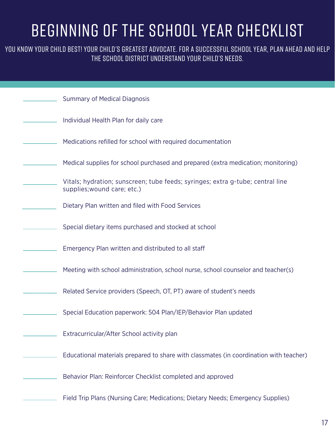# Beginning of the School Year Checklist

YOU KNOW YOUR CHILD BEST! YOUR CHILD'S GREATEST ADVOCATE. FOR A SUCCESSFUL SCHOOL YEAR, PLAN AHEAD AND HELP the school district understand your child's needs.

| <b>Summary of Medical Diagnosis</b>                                                                           |
|---------------------------------------------------------------------------------------------------------------|
| Individual Health Plan for daily care                                                                         |
| Medications refilled for school with required documentation                                                   |
| Medical supplies for school purchased and prepared (extra medication; monitoring)                             |
| Vitals; hydration; sunscreen; tube feeds; syringes; extra g-tube; central line<br>supplies; wound care; etc.) |
| Dietary Plan written and filed with Food Services                                                             |
| Special dietary items purchased and stocked at school                                                         |
| Emergency Plan written and distributed to all staff                                                           |
| Meeting with school administration, school nurse, school counselor and teacher(s)                             |
| Related Service providers (Speech, OT, PT) aware of student's needs                                           |
| Special Education paperwork: 504 Plan/IEP/Behavior Plan updated                                               |
| Extracurricular/After School activity plan                                                                    |
| Educational materials prepared to share with classmates (in coordination with teacher)                        |
| Behavior Plan: Reinforcer Checklist completed and approved                                                    |
| Field Trip Plans (Nursing Care; Medications; Dietary Needs; Emergency Supplies)                               |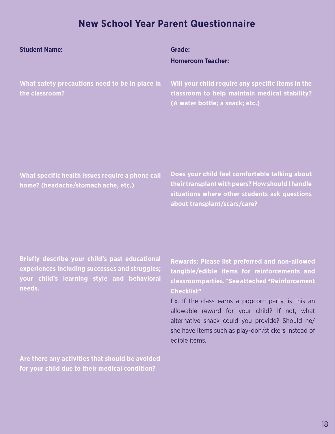### **New School Year Parent Questionnaire**

| <b>Student Name:</b>                                                                    | <b>Grade:</b><br><b>Homeroom Teacher:</b>                                                                                                                                           |
|-----------------------------------------------------------------------------------------|-------------------------------------------------------------------------------------------------------------------------------------------------------------------------------------|
| What safety precautions need to be in place in<br>the classroom?                        | Will your child require any specific items in the<br>classroom to help maintain medical stability?<br>(A water bottle; a snack; etc.)                                               |
| What specific health issues require a phone call<br>home? (headache/stomach ache, etc.) | Does your child feel comfortable talking about<br>their transplant with peers? How should I handle<br>situations where other students ask questions<br>about transplant/scars/care? |

**Briefly describe your child's past educational experiences including successes and struggles; your child's learning style and behavioral needs.**

**Rewards: Please list preferred and non-allowed tangible/edible items for reinforcements and classroom parties. \*See attached "Reinforcement Checklist"**

Ex. If the class earns a popcorn party, is this an allowable reward for your child? If not, what alternative snack could you provide? Should he/ she have items such as play-doh/stickers instead of edible items.

**Are there any activities that should be avoided for your child due to their medical condition?**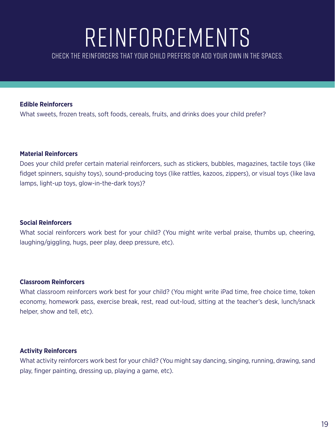# Reinforcements

Check the reinforcers that your child prefers or add your own in the spaces.

#### **Edible Reinforcers**

What sweets, frozen treats, soft foods, cereals, fruits, and drinks does your child prefer?

#### **Material Reinforcers**

Does your child prefer certain material reinforcers, such as stickers, bubbles, magazines, tactile toys (like fidget spinners, squishy toys), sound-producing toys (like rattles, kazoos, zippers), or visual toys (like lava lamps, light-up toys, glow-in-the-dark toys)?

#### **Social Reinforcers**

What social reinforcers work best for your child? (You might write verbal praise, thumbs up, cheering, laughing/giggling, hugs, peer play, deep pressure, etc).

#### **Classroom Reinforcers**

What classroom reinforcers work best for your child? (You might write iPad time, free choice time, token economy, homework pass, exercise break, rest, read out-loud, sitting at the teacher's desk, lunch/snack helper, show and tell, etc).

#### **Activity Reinforcers**

What activity reinforcers work best for your child? (You might say dancing, singing, running, drawing, sand play, finger painting, dressing up, playing a game, etc).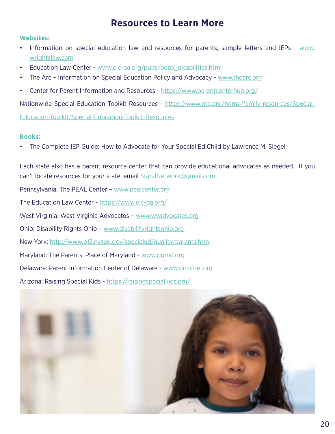### **Resources to Learn More**

#### **Websites:**

- Information on special education law and resources for parents; sample letters and IEPs [www.](https://www.wrightslaw.com/) [wrightslaw.com](https://www.wrightslaw.com/)
- Education Law Center www.elc-pa.org/pubs/pubs\_disabilities.html
- The Arc Information on Special Education Policy and Advocacy [www.thearc.org](https://thearc.org/)
- Center for Parent Information and Resources <https://www.parentcenterhub.org/>

Nationwide Special Education Toolkit Resources - [https://www.pta.org/home/family-resources/Special-](https://www.pta.org/home/family-resources/Special-Education-Toolkit/Special-Education-Toolkit-Resources)

[Education-Toolkit/Special-Education-Toolkit-Resources](https://www.pta.org/home/family-resources/Special-Education-Toolkit/Special-Education-Toolkit-Resources)

#### **Books:**

• The Complete IEP Guide: How to Advocate for Your Special Ed Child by Lawrence M. Siegel

Each state also has a parent resource center that can provide educational advocates as needed. If you can't locate resources for your state, email StarzlNetwork@gmail.com Pennsylvania: The PEAL Center – [www.pealcenter.org](https://www.pealcenter.org/) The Education Law Center - <https://www.elc-pa.org/> West Virginia: West Virginia Advocates – [www.wvadvocates.org](https://www.drofwv.org/) Ohio: Disability Rights Ohio – [www.disabilityrightsohio.org](https://www.disabilityrightsohio.org/)

New York: <http://www.p12.nysed.gov/specialed/quality/parents.htm>

Maryland: The Parents' Place of Maryland - www.ppmd.org

Delaware: Parent Information Center of Delaware - [www.picofdel.org](https://picofdel.org/)

Arizona: Raising Special Kids -<https://raisingspecialkids.org/>